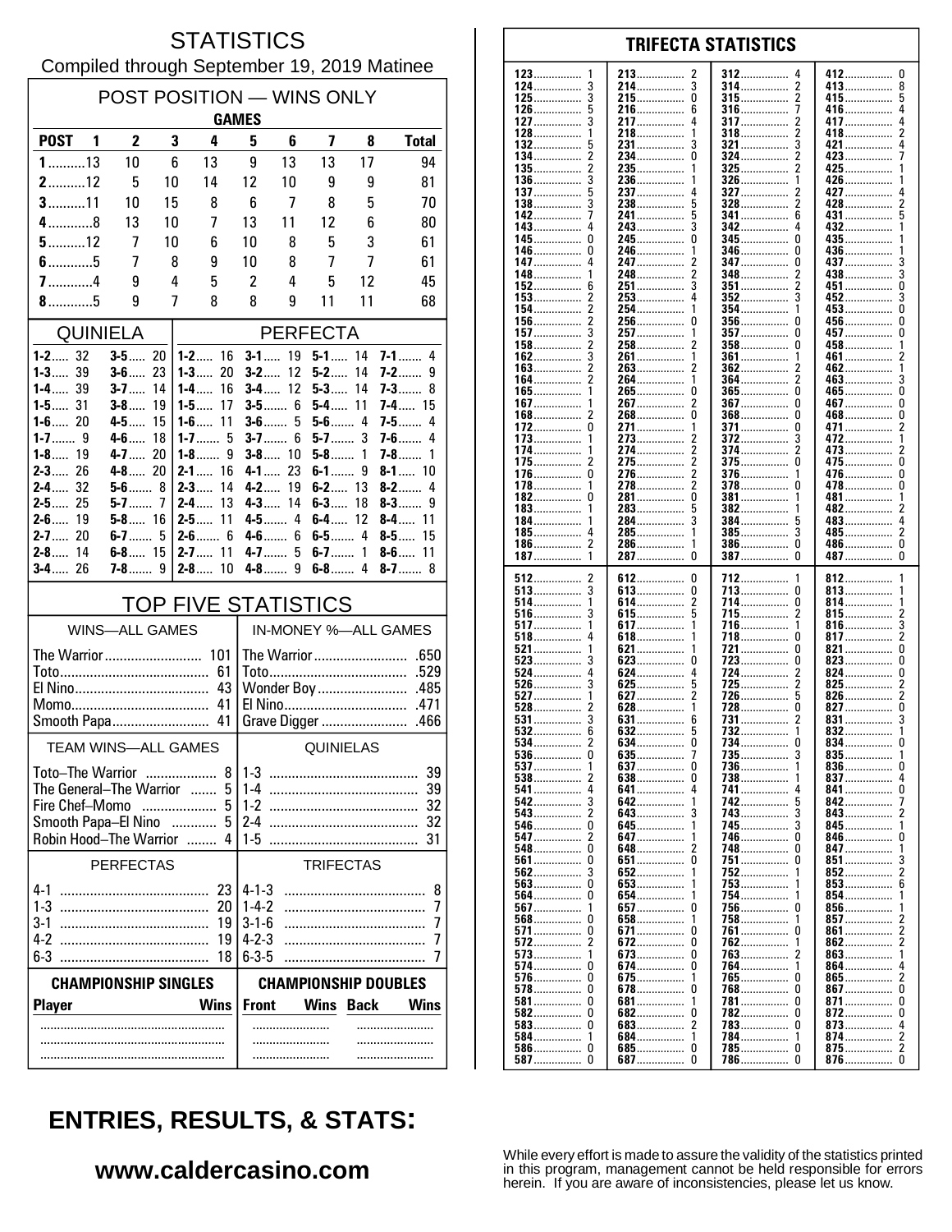#### **STATISTICS** Compiled through September 19, 2019 Matinee

| POST POSITION - WINS ONLY<br><b>GAMES</b>                       |                         |          |                             |                                                 |                          |                         |         |                           |  |
|-----------------------------------------------------------------|-------------------------|----------|-----------------------------|-------------------------------------------------|--------------------------|-------------------------|---------|---------------------------|--|
| POST <sub>1</sub>                                               | $\overline{2}$          | 3        | 4                           | 5                                               | 6                        | $\overline{\mathbf{z}}$ | 8       | <b>Total</b>              |  |
| $1$ 13                                                          | 10                      | 6        | 13                          | 9                                               | 13                       | 13                      | 17      | 94                        |  |
| $2$ 12                                                          | 5                       | 10       | 14                          | 12                                              | 10                       | 9                       | 9       | 81                        |  |
| $3$ 11                                                          | 10                      | 15       | 8                           | 6                                               | 7                        | 8                       | 5       | 70                        |  |
| $4$ 8                                                           | 13                      | 10       | 7                           | 13                                              | 11                       | 12                      | 6       | 80                        |  |
| $5$ 12                                                          | 7                       | 10       | 6                           | 10                                              | 8                        | 5                       | 3       | 61                        |  |
| $6$ 5<br>$7$ 4                                                  | 7<br>9                  | 8<br>4   | 9<br>5                      | 10<br>2                                         | 8<br>4                   | 7<br>5                  | 7<br>12 | 61<br>45                  |  |
| $8$ 5                                                           | 9                       | 7        | 8                           | 8                                               | 9                        | 11                      | 11      | 68                        |  |
| <b>QUINIELA</b><br><b>PERFECTA</b>                              |                         |          |                             |                                                 |                          |                         |         |                           |  |
| $1 - 2$ 32                                                      | $3 - 5$ 20              |          | $1 - 2$ 16                  |                                                 | $3 - 1$ 19               | $5 - 1$ 14              |         | $7 - 1$ 4                 |  |
| <b>1-3</b> 39                                                   | $3 - 6$ 23              |          | 1-3<br>20                   | $3 - 2$                                         | 12                       | $5 - 2$                 | 14      | <b>7-2</b> …… 9           |  |
| $1 - 4$ 39                                                      | $3 - 7$                 | 14       | 16<br>1-4……                 |                                                 | $3 - 4$ 12               | $5 - 3$                 | 14      | <b>7-3</b> 8              |  |
| $1 - 5$ 31<br>$1 - 6$ 20                                        | $3 - 8$<br>$4 - 5$      | 19<br>15 | $1 - 5$<br>17<br>$1 - 6$ 11 | $3-5$                                           | 6<br>$3-6$ 5             | $5 - 4$<br>$5-6$ 4      | 11      | $7 - 4$ 15<br>$7-5$<br>4  |  |
| 1-7…… 9                                                         | 4-6                     | 18       | 1-7…… 5                     | $3 - 7$                                         | 6                        | $5-7$                   | 3       | <b>7-6</b><br>4           |  |
| $1 - 8$ 19<br>$2 - 3$<br>26                                     | $4 - 7$ 20              |          | 1-8……<br>9                  |                                                 | $3 - 8$ 10<br>$4 - 1$ 23 | $5-8$                   | 1       | $7-8$<br>1                |  |
| $2 - 4$ 32                                                      | $4 - 8$ 20<br>$5 - 6$ 8 |          | $2 - 1$ 16<br>$2 - 3$<br>14 |                                                 | $4 - 2$ 19               | $6-1$<br>$6 - 2$ 13     | 9       | $8 - 1$ 10<br>$8-2$<br>4  |  |
| 25<br>$2 - 5$                                                   | 5-7……                   | 7        | 13<br>2-4……                 |                                                 | $4 - 3$ 14               | $6 - 3$                 | 18      | $8-3$<br>9                |  |
| $2 - 6$ 19<br>20                                                | $5 - 8$ 16              |          | 11<br>2-5……                 |                                                 | 4-5 4                    | $6 - 4$                 | 12      | 8-4 11                    |  |
| $2 - 7$<br>$2 - 8$ 14                                           | $6-7$<br>$6 - 8$ 15     | 5        | $2 - 6$ 6<br>$2 - 7$ 11     | 4-6<br>$4-7$                                    | 6<br>5                   | $6 - 7$ 1               |         | $8-5$<br>15<br>$8 - 6$ 11 |  |
| $3 - 4$ 26                                                      | <b>7-8</b> 9            |          | $2-8$<br>10                 | 4-8……                                           | 9                        | $6-8$ 4                 |         | $8 - 7$ 8                 |  |
|                                                                 |                         |          | <b>TOP FIVE STATISTICS</b>  |                                                 |                          |                         |         |                           |  |
|                                                                 | <b>WINS-ALL GAMES</b>   |          |                             |                                                 |                          |                         |         | IN-MONEY %-ALL GAMES      |  |
| The Warrior  101                                                |                         |          |                             |                                                 |                          |                         |         |                           |  |
|                                                                 |                         |          | 61<br>43                    | .529<br>Wonder Boy<br>.485                      |                          |                         |         |                           |  |
|                                                                 |                         |          |                             |                                                 |                          |                         |         | .471                      |  |
| Smooth Papa 41                                                  |                         |          |                             |                                                 |                          | Grave Digger            |         | .466                      |  |
| <b>TEAM WINS-ALL GAMES</b>                                      |                         |          |                             | QUINIELAS                                       |                          |                         |         |                           |  |
| 8<br>Toto-The Warrior                                           |                         |          |                             | 39<br>$1 - 3$                                   |                          |                         |         |                           |  |
| The General-The Warrior<br>5<br>$\ldots$<br>Fire Chef-Momo<br>5 |                         |          |                             | 39<br>$1-4$<br>$1-2$<br>32                      |                          |                         |         |                           |  |
| $\overline{\phantom{a}}$<br>Smooth Papa-El Nino<br>5            |                         |          |                             | 24                                              |                          |                         |         |                           |  |
| Robin Hood-The Warrior<br>4                                     |                         |          |                             |                                                 | 1-5<br>31                |                         |         |                           |  |
| <b>PERFECTAS</b><br><b>TRIFECTAS</b>                            |                         |          |                             |                                                 |                          |                         |         |                           |  |
| $4 - 1$                                                         |                         |          | 23                          | $4 - 1 - 3$                                     |                          |                         |         | 8                         |  |
| $1-3$                                                           |                         |          | 20                          | $1 - 4 - 2$                                     |                          |                         |         | 7                         |  |
| 3-1<br>4-2                                                      |                         |          | 19<br>19                    | $3 - 1 - 6$<br>$4 - 2 - 3$                      |                          |                         |         | 7<br>7                    |  |
| 6-3                                                             |                         |          | 18                          | $6 - 3 - 5$                                     |                          |                         |         | 7                         |  |
| <b>CHAMPIONSHIP SINGLES</b><br><b>CHAMPIONSHIP DOUBLES</b>      |                         |          |                             |                                                 |                          |                         |         |                           |  |
| <b>Player</b>                                                   |                         |          | <b>Wins</b>                 | <b>Front</b><br><b>Wins Back</b><br><b>Wins</b> |                          |                         |         |                           |  |
|                                                                 |                         |          |                             |                                                 | .                        |                         |         | .                         |  |
|                                                                 |                         |          |                             |                                                 |                          |                         |         |                           |  |
|                                                                 |                         |          |                             |                                                 |                          |                         |         |                           |  |

| 123<br>1        | 213<br>2        | 312<br>4        | 412……………<br>0 |
|-----------------|-----------------|-----------------|---------------|
| 124             | 214             | 314<br>2        | 413……………      |
| 125……………        | 215……………<br>0   | <b>315</b><br>2 | 415……………<br>5 |
| 5               | 216             | 316<br>7        | 4             |
| $126$           | 6               |                 | 416……………      |
| 127……………<br>3   | 217<br>4        | <b>317</b><br>2 | 417<br>4      |
| 128<br>1        | 218<br>1        | $318$<br>2      | 418<br>2      |
| 132<br>5        | 231<br>3        | 3<br>$321$      | 421<br>4      |
|                 |                 |                 |               |
| 134<br>2        | 234……………<br>0   | 324<br>2        | 423           |
| 2<br>$135$      | 235……………<br>1   | 325<br>2        | 425<br>1      |
| 136             | 236<br>1        | $326$           | 426<br>1      |
| 137……………        | 237<br>4        | <b>327</b><br>2 | 427<br>4      |
|                 |                 |                 |               |
| $138$<br>3      | 238……………<br>5   | $328$<br>2      | 428<br>2      |
| 142<br>7        | 241<br>5        | $341$<br>6      | 431<br>ხ      |
| 143.            | 243……………        | 342             | 432           |
|                 |                 |                 |               |
| 145……………<br>0   | 245……………<br>0   | 345……………<br>0   | 435           |
| 146……………<br>0   | 246<br>1        | 346<br>0        | 436<br>1      |
| 147.            | 247<br>2        | 347<br>0        | 437<br>3      |
| 148……………        |                 | 348……………        | 438<br>3      |
|                 | 248……………        |                 |               |
| 152<br>6        | 3<br>251        | 2<br>$351$      | 451<br>U      |
| $153$<br>2      | 253<br>4        | $352$           | 452           |
| 154<br>2        | 254……………<br>1   | 354<br>1        | 453<br>0      |
|                 |                 |                 |               |
| $156$           | 256<br>0        | $356$<br>U      | 456<br>U      |
| 157<br>3        | 257<br>1        | $357$<br>0      | 457<br>0      |
| 2<br>$158$      | 258<br>2        | $358$<br>0      | 458<br>1      |
| 162<br>3        | 261<br>1        | 361<br>1        | 461<br>2      |
|                 |                 |                 |               |
| $163$<br>2      | 263……………<br>2   | 362<br>2        | 462<br>1      |
| 164             | 264<br>1        | 364<br>2        | 463<br>3      |
| $165$           | 265<br>0        | $365$<br>0      | 465<br>0      |
| 1               | 2               | $367$           | 467……………      |
| 167……………        | 267             | 0               | 0             |
| 168……………<br>2   | 268……………<br>0   | $368$<br>0      | 468……………<br>0 |
| 172<br>0        | 271<br>1        | 371<br>0        | 471<br>2      |
| 173<br>1        | 273<br>2        | $372$<br>3      | 472<br>1      |
| 174             | 2               | 374             | 473<br>2      |
|                 | 274             |                 |               |
| 175……………<br>2   | 2<br>275……………   | <b>375</b><br>0 | 475<br>0      |
| 176<br>0        | 2<br>276        | 376             | 476<br>0      |
| 178……………<br>1   | 2<br>278……………   | 378<br>0        | 478<br>0      |
|                 |                 |                 |               |
| 182             | 281……………<br>0   | 381             | 481……………<br>1 |
| $183$           | 283             | 382             | 482<br>2      |
| 184<br>1        | 3<br>284……………   | 384……………<br>5   | 483<br>4      |
| 185……………<br>4   | 285<br>1        | 385<br>3        | 485……………<br>2 |
|                 |                 |                 |               |
| 186             | 286……………<br>1   | $386$<br>0      | 486<br>0      |
| $187$<br>1      | 287<br>0        | 387<br>0        | 487<br>0      |
|                 |                 |                 |               |
|                 |                 |                 |               |
|                 |                 |                 |               |
| 512<br>2        | 612<br>0        | 712<br>1        | $812$<br>1    |
| $513$           | 613<br>0        | 713<br>0        | 813<br>1      |
| 514<br>1        | 614<br>2        | 714……………<br>0   | 814<br>1      |
| 3               | 5               | 2               | 2             |
| <b>516</b>      | 615             | 715             | 815           |
| $517$<br>1      | <b>617</b><br>1 | 716<br>1        | 816<br>3      |
| $518$           | 618……………        | 718<br>0        | 817<br>2      |
| 521<br>1        | 621<br>1        | 721<br>0        | 821<br>0      |
| 3               | 623<br>0        | 0               | 0             |
| $523$           |                 | 723             | 823           |
| 524<br>4        | 624<br>4        | 724……………<br>2   | 824<br>0      |
| $526$           | 625<br>5        | 725             | 825           |
| 527             | 627             | 726<br>5        | $826$<br>2    |
| $528$           | 628……………        | 728<br>0        | 827           |
|                 | 6               | 2               | $831$         |
| $531$           | 631             | 731             |               |
| $532$           | 632             | <u>732</u>      | 832<br>1      |
| $534$<br>2      | 634             | 734……………<br>0   | 834<br>0      |
| 536<br>0        | 635             | 735             | 835           |
|                 |                 | 736<br>1        |               |
|                 |                 |                 |               |
|                 | 638             | 738             | 837           |
| 541……………        | 641<br>4        | 741             | 841           |
|                 | 642             | 742             | 842           |
| 543<br>2        | 643<br>3        | 743             | 843<br>2      |
| 0               | 1               |                 |               |
| 546             | 645             | <b>745</b>      | 845<br>1      |
| 547<br>2        | 647<br>1        | 746<br>U        | 846……………<br>U |
| 548 0           | 648<br>2        | 748 0           | 847<br>1      |
|                 | 651<br>0        | 751<br>U        | 851<br>3      |
|                 | 1               |                 |               |
| 562             | 652             | $752$           | 852<br>2      |
| 563<br>0        | 653<br>1        | 753             | 853<br>6      |
| 564 0           | 654<br>1        | 754<br>1        | 854<br>1      |
| 567<br>1        | 657<br>0        | 756<br>U        | 856<br>1      |
|                 |                 |                 |               |
| 568<br>0        | 658……………<br>1   | $758$           | 857<br>2      |
| 571<br>0        | 671<br>0        | 761<br>0        | 861           |
| 572<br>2        | 672<br>0        | <u>762</u><br>1 | 862<br>2      |
|                 | $673$<br>0      |                 | 1             |
| $573$           |                 | 763             | 863<br>4      |
| 574<br>U        | 674<br>0        | 764             | 864……………      |
| 576<br>0        | 675<br>1        | 765<br>0        | 865<br>2      |
| <b>578</b><br>0 | 678<br>0        | 768<br>U        | 867<br>U      |
| <b>581</b><br>0 | 681<br>1        | 781<br>U        | 871<br>U      |
|                 |                 |                 |               |
| <b>582</b><br>0 | 682<br>0        | 782<br>0        | 872<br>0      |
| $583$<br>0      | 683             | 783<br>0        | 873           |
| 584<br>1        | 684<br>1        | 784……………<br>1   | 874……………<br>2 |
|                 |                 | 785……………  0     |               |

**TRIFECTA STATISTICS** 

# **ENTRIES, RESULTS, & STATS:**

#### www.caldercasino.com